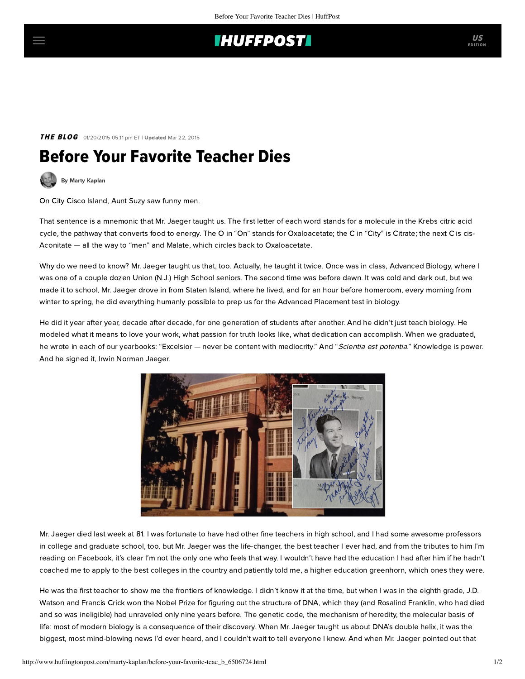## **IHUFFPOSTI**

**THE BLOG** 01/20/2015 05:11 pm ET | Updated Mar 22, 2015

## Before Your Favorite Teacher Dies



On City Cisco Island, Aunt Suzy saw funny men.

That sentence is a mnemonic that Mr. Jaeger taught us. The first letter of each word stands for a molecule in the Krebs citric acid cycle, the pathway that converts food to energy. The O in "On" stands for Oxaloacetate; the C in "City" is Citrate; the next C is cis-Aconitate — all the way to "men" and Malate, which circles back to Oxaloacetate.

Why do we need to know? Mr. Jaeger taught us that, too. Actually, he taught it twice. Once was in class, Advanced Biology, where I was one of a couple dozen Union (N.J.) High School seniors. The second time was before dawn. It was cold and dark out, but we made it to school, Mr. Jaeger drove in from Staten Island, where he lived, and for an hour before homeroom, every morning from winter to spring, he did everything humanly possible to prep us for the Advanced Placement test in biology.

He did it year after year, decade after decade, for one generation of students after another. And he didn't just teach biology. He modeled what it means to love your work, what passion for truth looks like, what dedication can accomplish. When we graduated, he wrote in each of our yearbooks: "Excelsior — never be content with mediocrity." And "Scientia est potentia." Knowledge is power. And he signed it, Irwin Norman Jaeger.



Mr. Jaeger [died](http://www.silive.com/obituaries/index.ssf/2015/01/irwin_jaeger_81.html) last week at 81. I was fortunate to have had other fine teachers in high school, and I had some awesome professors in college and graduate school, too, but Mr. Jaeger was the life-changer, the best teacher I ever had, and from the tributes to him I'm reading on Facebook, it's clear I'm not the only one who feels that way. I wouldn't have had the education I had after him if he hadn't coached me to apply to the best colleges in the country and patiently told me, a higher education greenhorn, which ones they were.

He was the first teacher to show me the frontiers of knowledge. I didn't know it at the time, but when I was in the eighth grade, J.D. Watson and Francis Crick won the Nobel Prize for figuring out the structure of DNA, which they (and Rosalind Franklin, who had died and so was ineligible) had unraveled only nine years before. The genetic code, the mechanism of heredity, the molecular basis of life: most of modern biology is a consequence of their discovery. When Mr. Jaeger taught us about DNA's double helix, it was the biggest, most mind-blowing news I'd ever heard, and I couldn't wait to tell everyone I knew. And when Mr. Jaeger pointed out that